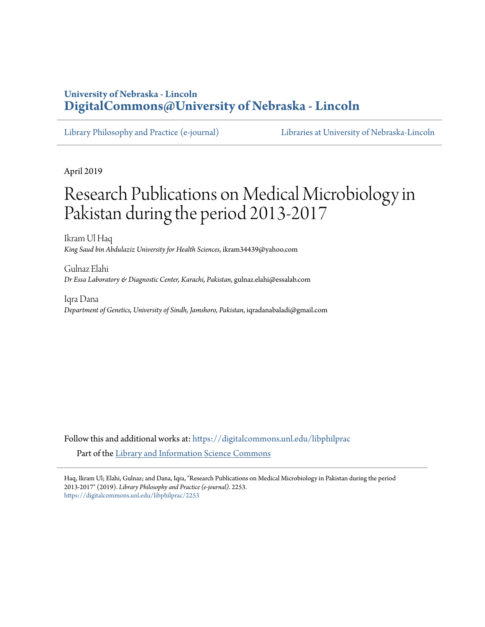# **University of Nebraska - Lincoln [DigitalCommons@University of Nebraska - Lincoln](https://digitalcommons.unl.edu?utm_source=digitalcommons.unl.edu%2Flibphilprac%2F2253&utm_medium=PDF&utm_campaign=PDFCoverPages)**

[Library Philosophy and Practice \(e-journal\)](https://digitalcommons.unl.edu/libphilprac?utm_source=digitalcommons.unl.edu%2Flibphilprac%2F2253&utm_medium=PDF&utm_campaign=PDFCoverPages) [Libraries at University of Nebraska-Lincoln](https://digitalcommons.unl.edu/libraries?utm_source=digitalcommons.unl.edu%2Flibphilprac%2F2253&utm_medium=PDF&utm_campaign=PDFCoverPages)

April 2019

# Research Publications on Medical Microbiology in Pakistan during the period 2013-2017

Ikram Ul Haq *King Saud bin Abdulaziz University for Health Sciences*, ikram34439@yahoo.com

Gulnaz Elahi *Dr Essa Laboratory & Diagnostic Center, Karachi, Pakistan*, gulnaz.elahi@essalab.com

Iqra Dana *Department of Genetics, University of Sindh, Jamshoro, Pakistan*, iqradanabaladi@gmail.com

Follow this and additional works at: [https://digitalcommons.unl.edu/libphilprac](https://digitalcommons.unl.edu/libphilprac?utm_source=digitalcommons.unl.edu%2Flibphilprac%2F2253&utm_medium=PDF&utm_campaign=PDFCoverPages) Part of the [Library and Information Science Commons](http://network.bepress.com/hgg/discipline/1018?utm_source=digitalcommons.unl.edu%2Flibphilprac%2F2253&utm_medium=PDF&utm_campaign=PDFCoverPages)

Haq, Ikram Ul; Elahi, Gulnaz; and Dana, Iqra, "Research Publications on Medical Microbiology in Pakistan during the period 2013-2017" (2019). *Library Philosophy and Practice (e-journal)*. 2253. [https://digitalcommons.unl.edu/libphilprac/2253](https://digitalcommons.unl.edu/libphilprac/2253?utm_source=digitalcommons.unl.edu%2Flibphilprac%2F2253&utm_medium=PDF&utm_campaign=PDFCoverPages)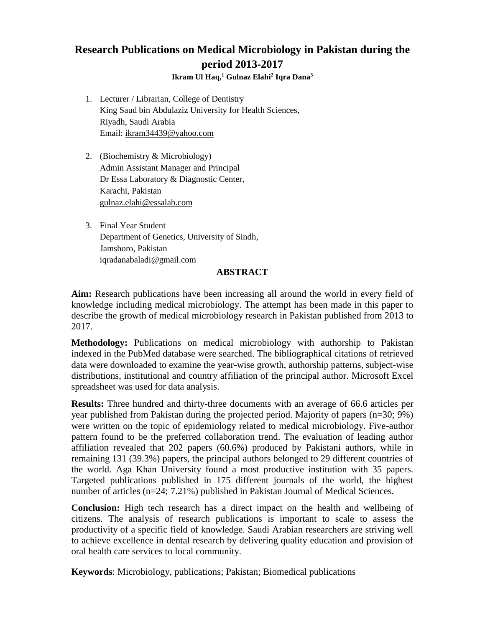# **Research Publications on Medical Microbiology in Pakistan during the period 2013-2017**

**Ikram Ul Haq, <sup>1</sup> Gulnaz Elahi<sup>2</sup> Iqra Dana<sup>3</sup>**

- 1. Lecturer / Librarian, College of Dentistry King Saud bin Abdulaziz University for Health Sciences, Riyadh, Saudi Arabia Email: [ikram34439@yahoo.com](mailto:ikram34439@yahoo.com)
- 2. (Biochemistry & Microbiology) Admin Assistant Manager and Principal Dr Essa Laboratory & Diagnostic Center, Karachi, Pakistan [gulnaz.elahi@essalab.com](mailto:gulnaz.elahi@essalab.com)
- 3. Final Year Student Department of Genetics, University of Sindh, Jamshoro, Pakistan [iqradanabaladi@gmail.com](mailto:iqradanabaladi@gmail.com)

# **ABSTRACT**

**Aim:** Research publications have been increasing all around the world in every field of knowledge including medical microbiology. The attempt has been made in this paper to describe the growth of medical microbiology research in Pakistan published from 2013 to 2017.

**Methodology:** Publications on medical microbiology with authorship to Pakistan indexed in the PubMed database were searched. The bibliographical citations of retrieved data were downloaded to examine the year-wise growth, authorship patterns, subject-wise distributions, institutional and country affiliation of the principal author. Microsoft Excel spreadsheet was used for data analysis.

**Results:** Three hundred and thirty-three documents with an average of 66.6 articles per year published from Pakistan during the projected period. Majority of papers (n=30; 9%) were written on the topic of epidemiology related to medical microbiology. Five-author pattern found to be the preferred collaboration trend. The evaluation of leading author affiliation revealed that 202 papers (60.6%) produced by Pakistani authors, while in remaining 131 (39.3%) papers, the principal authors belonged to 29 different countries of the world. Aga Khan University found a most productive institution with 35 papers. Targeted publications published in 175 different journals of the world, the highest number of articles (n=24; 7.21%) published in Pakistan Journal of Medical Sciences.

**Conclusion:** High tech research has a direct impact on the health and wellbeing of citizens. The analysis of research publications is important to scale to assess the productivity of a specific field of knowledge. Saudi Arabian researchers are striving well to achieve excellence in dental research by delivering quality education and provision of oral health care services to local community.

**Keywords**: Microbiology, publications; Pakistan; Biomedical publications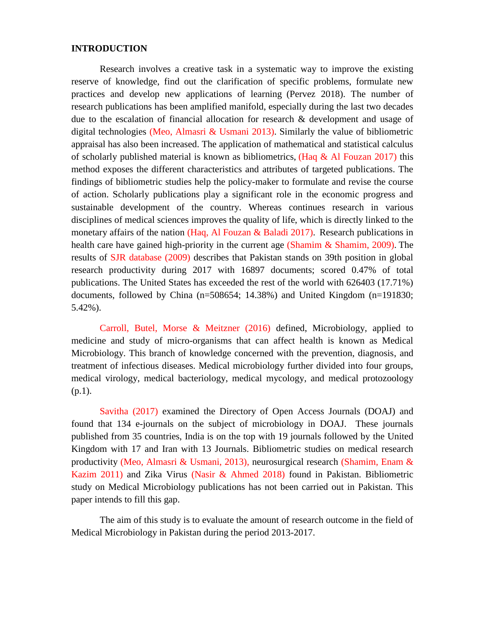#### **INTRODUCTION**

Research involves a creative task in a systematic way to improve the existing reserve of knowledge, find out the clarification of specific problems, formulate new practices and develop new applications of learning (Pervez 2018). The number of research publications has been amplified manifold, especially during the last two decades due to the escalation of financial allocation for research & development and usage of digital technologies (Meo, Almasri & Usmani 2013). Similarly the value of bibliometric appraisal has also been increased. The application of mathematical and statistical calculus of scholarly published material is known as bibliometrics, (Haq  $\&$  Al Fouzan 2017) this method exposes the different characteristics and attributes of targeted publications. The findings of bibliometric studies help the policy-maker to formulate and revise the course of action. Scholarly publications play a significant role in the economic progress and sustainable development of the country. Whereas continues research in various disciplines of medical sciences improves the quality of life, which is directly linked to the monetary affairs of the nation (Haq, Al Fouzan  $\&$  Baladi 2017). Research publications in health care have gained high-priority in the current age (Shamim & Shamim, 2009). The results of SJR database (2009) describes that Pakistan stands on 39th position in global research productivity during 2017 with 16897 documents; scored 0.47% of total publications. The United States has exceeded the rest of the world with 626403 (17.71%) documents, followed by China (n=508654; 14.38%) and United Kingdom (n=191830; 5.42%).

Carroll, Butel, Morse & Meitzner (2016) defined, Microbiology, applied to medicine and study of micro-organisms that can affect health is known as Medical Microbiology. This branch of knowledge concerned with the prevention, diagnosis, and treatment of infectious diseases. Medical microbiology further divided into four groups, medical virology, medical bacteriology, medical mycology, and medical protozoology (p.1).

Savitha (2017) examined the Directory of Open Access Journals (DOAJ) and found that 134 e-journals on the subject of microbiology in DOAJ. These journals published from 35 countries, India is on the top with 19 journals followed by the United Kingdom with 17 and Iran with 13 Journals. Bibliometric studies on medical research productivity (Meo, Almasri & Usmani, 2013), neurosurgical research (Shamim, Enam & Kazim 2011) and Zika Virus (Nasir & Ahmed 2018) found in Pakistan. Bibliometric study on Medical Microbiology publications has not been carried out in Pakistan. This paper intends to fill this gap.

The aim of this study is to evaluate the amount of research outcome in the field of Medical Microbiology in Pakistan during the period 2013-2017.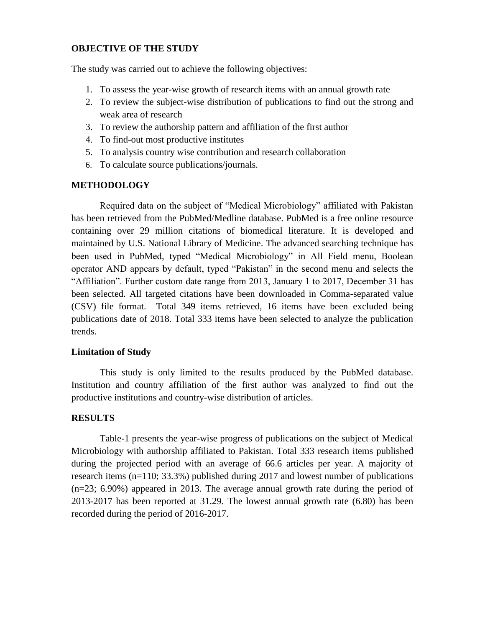# **OBJECTIVE OF THE STUDY**

The study was carried out to achieve the following objectives:

- 1. To assess the year-wise growth of research items with an annual growth rate
- 2. To review the subject-wise distribution of publications to find out the strong and weak area of research
- 3. To review the authorship pattern and affiliation of the first author
- 4. To find-out most productive institutes
- 5. To analysis country wise contribution and research collaboration
- 6. To calculate source publications/journals.

# **METHODOLOGY**

Required data on the subject of "Medical Microbiology" affiliated with Pakistan has been retrieved from the PubMed/Medline database. PubMed is a free online resource containing over 29 million citations of biomedical literature. It is developed and maintained by U.S. National Library of Medicine. The advanced searching technique has been used in PubMed, typed "Medical Microbiology" in All Field menu, Boolean operator AND appears by default, typed "Pakistan" in the second menu and selects the "Affiliation". Further custom date range from 2013, January 1 to 2017, December 31 has been selected. All targeted citations have been downloaded in Comma-separated value (CSV) file format. Total 349 items retrieved, 16 items have been excluded being publications date of 2018. Total 333 items have been selected to analyze the publication trends.

## **Limitation of Study**

This study is only limited to the results produced by the PubMed database. Institution and country affiliation of the first author was analyzed to find out the productive institutions and country-wise distribution of articles.

# **RESULTS**

Table-1 presents the year-wise progress of publications on the subject of Medical Microbiology with authorship affiliated to Pakistan. Total 333 research items published during the projected period with an average of 66.6 articles per year. A majority of research items (n=110; 33.3%) published during 2017 and lowest number of publications (n=23; 6.90%) appeared in 2013. The average annual growth rate during the period of 2013-2017 has been reported at 31.29. The lowest annual growth rate (6.80) has been recorded during the period of 2016-2017.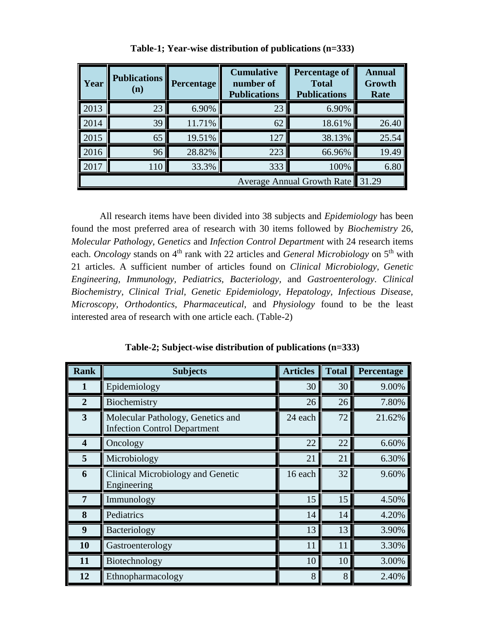| Year                       | <b>Publications</b><br>(n) | <b>Percentage</b> | <b>Cumulative</b><br>number of<br><b>Publications</b> | Percentage of<br><b>Total</b><br><b>Publications</b> | <b>Annual</b><br>Growth<br>Rate |
|----------------------------|----------------------------|-------------------|-------------------------------------------------------|------------------------------------------------------|---------------------------------|
| 2013                       | 23                         | 6.90%             | 23                                                    | 6.90%                                                |                                 |
| 2014                       | 39                         | 11.71%            | 62                                                    | 18.61%                                               | 26.40                           |
| 2015                       | 65                         | 19.51%            | 127                                                   | 38.13%                                               | 25.54                           |
| 2016                       | 96                         | 28.82%            | 223                                                   | 66.96%                                               | 19.49                           |
| 2017                       | 110                        | 33.3%             | 333                                                   | 100%                                                 | 6.80                            |
| Average Annual Growth Rate |                            |                   |                                                       | 31.29                                                |                                 |

**Table-1; Year-wise distribution of publications (n=333)**

All research items have been divided into 38 subjects and *Epidemiology* has been found the most preferred area of research with 30 items followed by *Biochemistry* 26, *Molecular Pathology, Genetics* and *Infection Control Department* with 24 research items each. *Oncology* stands on 4<sup>th</sup> rank with 22 articles and *General Microbiology* on 5<sup>th</sup> with 21 articles. A sufficient number of articles found on *Clinical Microbiology, Genetic Engineering, Immunology, Pediatrics, Bacteriology,* and *Gastroenterology*. *Clinical Biochemistry, Clinical Trial, Genetic Epidemiology, Hepatology, Infectious Disease, Microscopy, Orthodontics, Pharmaceutical*, and *Physiology* found to be the least interested area of research with one article each. (Table-2)

| <b>Rank</b>             | <b>Subjects</b>                                                          | <b>Articles</b> | <b>Total</b> | Percentage |
|-------------------------|--------------------------------------------------------------------------|-----------------|--------------|------------|
| 1                       | Epidemiology                                                             | 30              | 30           | 9.00%      |
| $\overline{2}$          | Biochemistry                                                             | 26              | 26           | 7.80%      |
| $\mathbf{3}$            | Molecular Pathology, Genetics and<br><b>Infection Control Department</b> | 24 each         | 72           | 21.62%     |
| $\overline{\mathbf{4}}$ | Oncology                                                                 | 22              | 22           | 6.60%      |
| 5                       | Microbiology                                                             | 21              | 21           | 6.30%      |
| 6                       | <b>Clinical Microbiology and Genetic</b><br>Engineering                  | 16 each         | 32           | 9.60%      |
| 7                       | Immunology                                                               | 15              | 15           | 4.50%      |
| 8                       | Pediatrics                                                               | 14              | 14           | 4.20%      |
| 9                       | Bacteriology                                                             | 13              | 13           | 3.90%      |
| 10                      | Gastroenterology                                                         | 11              | 11           | 3.30%      |
| 11                      | Biotechnology                                                            | 10              | 10           | 3.00%      |
| 12                      | Ethnopharmacology                                                        | 8               | 8            | 2.40%      |

**Table-2; Subject-wise distribution of publications (n=333)**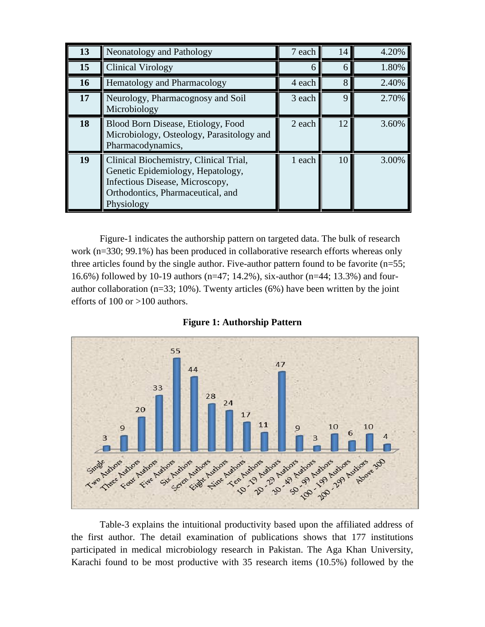| 13 | Neonatology and Pathology                                                                                                                                         | 7 each | 14          | 4.20% |
|----|-------------------------------------------------------------------------------------------------------------------------------------------------------------------|--------|-------------|-------|
| 15 | <b>Clinical Virology</b>                                                                                                                                          | 6      | 6           | 1.80% |
| 16 | <b>Hematology and Pharmacology</b>                                                                                                                                | 4 each | 8           | 2.40% |
| 17 | Neurology, Pharmacognosy and Soil<br>Microbiology                                                                                                                 | 3 each | $\mathbf Q$ | 2.70% |
| 18 | Blood Born Disease, Etiology, Food<br>Microbiology, Osteology, Parasitology and<br>Pharmacodynamics,                                                              | 2 each | 12          | 3.60% |
| 19 | Clinical Biochemistry, Clinical Trial,<br>Genetic Epidemiology, Hepatology,<br>Infectious Disease, Microscopy,<br>Orthodontics, Pharmaceutical, and<br>Physiology | 1 each | 10          | 3.00% |

Figure-1 indicates the authorship pattern on targeted data. The bulk of research work (n=330; 99.1%) has been produced in collaborative research efforts whereas only three articles found by the single author. Five-author pattern found to be favorite (n=55; 16.6%) followed by 10-19 authors (n=47; 14.2%), six-author (n=44; 13.3%) and fourauthor collaboration ( $n=33$ ; 10%). Twenty articles (6%) have been written by the joint efforts of 100 or >100 authors.



## **Figure 1: Authorship Pattern**

Table-3 explains the intuitional productivity based upon the affiliated address of the first author. The detail examination of publications shows that 177 institutions participated in medical microbiology research in Pakistan. The Aga Khan University, Karachi found to be most productive with 35 research items (10.5%) followed by the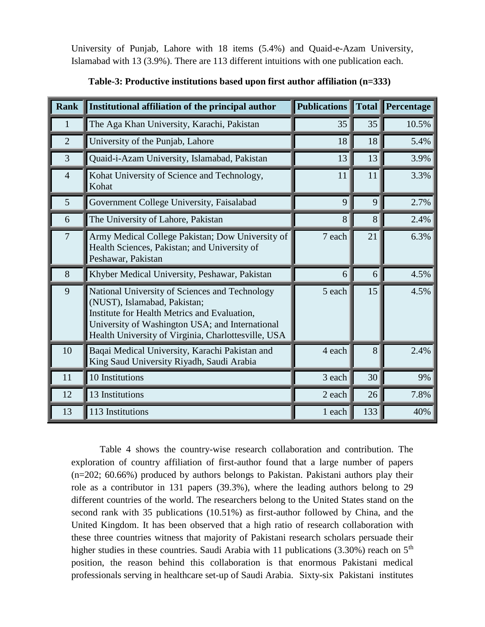University of Punjab, Lahore with 18 items (5.4%) and Quaid-e-Azam University, Islamabad with 13 (3.9%). There are 113 different intuitions with one publication each.

| <b>Rank</b>    | Institutional affiliation of the principal author                                                                                                                                                                                        | <b>Publications</b> | $\ $ Total | Percentage |
|----------------|------------------------------------------------------------------------------------------------------------------------------------------------------------------------------------------------------------------------------------------|---------------------|------------|------------|
| $\mathbf{1}$   | The Aga Khan University, Karachi, Pakistan                                                                                                                                                                                               | 35                  | 35         | 10.5%      |
| $\overline{2}$ | University of the Punjab, Lahore                                                                                                                                                                                                         | 18                  | 18         | 5.4%       |
| 3              | Quaid-i-Azam University, Islamabad, Pakistan                                                                                                                                                                                             | 13                  | 13         | 3.9%       |
| $\overline{4}$ | Kohat University of Science and Technology,<br>Kohat                                                                                                                                                                                     | 11                  | 11         | 3.3%       |
| 5              | Government College University, Faisalabad                                                                                                                                                                                                | 9                   | 9          | 2.7%       |
| 6              | The University of Lahore, Pakistan                                                                                                                                                                                                       | 8                   | 8          | 2.4%       |
| $\overline{7}$ | Army Medical College Pakistan; Dow University of<br>Health Sciences, Pakistan; and University of<br>Peshawar, Pakistan                                                                                                                   | 7 each              | 21         | 6.3%       |
| 8              | Khyber Medical University, Peshawar, Pakistan                                                                                                                                                                                            | 6                   | 6          | 4.5%       |
| 9              | National University of Sciences and Technology<br>(NUST), Islamabad, Pakistan;<br>Institute for Health Metrics and Evaluation,<br>University of Washington USA; and International<br>Health University of Virginia, Charlottesville, USA | 5 each              | 15         | 4.5%       |
| 10             | Baqai Medical University, Karachi Pakistan and<br>King Saud University Riyadh, Saudi Arabia                                                                                                                                              | 4 each              | 8          | 2.4%       |
| 11             | 10 Institutions                                                                                                                                                                                                                          | 3 each              | 30         | 9%         |
| 12             | 13 Institutions                                                                                                                                                                                                                          | 2 each              | 26         | 7.8%       |
| 13             | 113 Institutions                                                                                                                                                                                                                         | 1 each              | 133        | 40%        |

# **Table-3: Productive institutions based upon first author affiliation (n=333)**

Table 4 shows the country-wise research collaboration and contribution. The exploration of country affiliation of first-author found that a large number of papers (n=202; 60.66%) produced by authors belongs to Pakistan. Pakistani authors play their role as a contributor in 131 papers (39.3%), where the leading authors belong to 29 different countries of the world. The researchers belong to the United States stand on the second rank with 35 publications (10.51%) as first-author followed by China, and the United Kingdom. It has been observed that a high ratio of research collaboration with these three countries witness that majority of Pakistani research scholars persuade their higher studies in these countries. Saudi Arabia with 11 publications (3.30%) reach on 5<sup>th</sup> position, the reason behind this collaboration is that enormous Pakistani medical professionals serving in healthcare set-up of Saudi Arabia. Sixty-six Pakistani institutes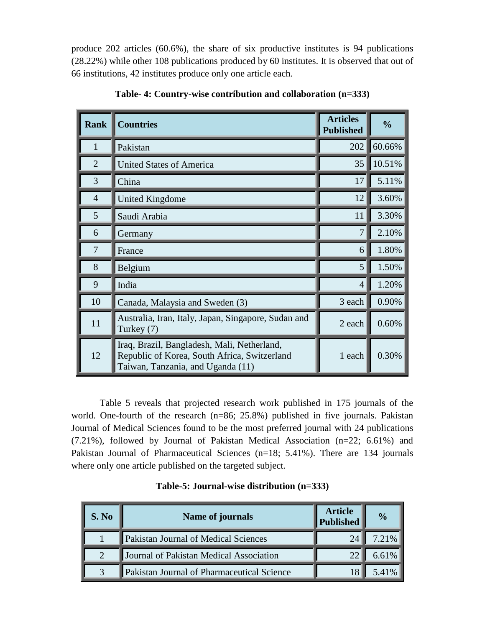produce 202 articles (60.6%), the share of six productive institutes is 94 publications (28.22%) while other 108 publications produced by 60 institutes. It is observed that out of 66 institutions, 42 institutes produce only one article each.

| <b>Rank</b>    | <b>Countries</b>                                                                                                                 | <b>Articles</b><br><b>Published</b> | $\frac{0}{0}$ |
|----------------|----------------------------------------------------------------------------------------------------------------------------------|-------------------------------------|---------------|
| 1              | Pakistan                                                                                                                         | 202                                 | 60.66%        |
| $\overline{2}$ | <b>United States of America</b>                                                                                                  | 35                                  | 10.51%        |
| 3              | China                                                                                                                            | 17                                  | 5.11%         |
| $\overline{4}$ | <b>United Kingdome</b>                                                                                                           | 12                                  | 3.60%         |
| 5              | Saudi Arabia                                                                                                                     | 11                                  | 3.30%         |
| 6              | Germany                                                                                                                          | 7                                   | 2.10%         |
| 7              | France                                                                                                                           | 6                                   | 1.80%         |
| 8              | Belgium                                                                                                                          | 5                                   | 1.50%         |
| 9              | India                                                                                                                            | 4                                   | 1.20%         |
| 10             | Canada, Malaysia and Sweden (3)                                                                                                  | 3 each                              | 0.90%         |
| 11             | Australia, Iran, Italy, Japan, Singapore, Sudan and<br>Turkey (7)                                                                | 2 each                              | 0.60%         |
| 12             | Iraq, Brazil, Bangladesh, Mali, Netherland,<br>Republic of Korea, South Africa, Switzerland<br>Taiwan, Tanzania, and Uganda (11) | 1 each                              | 0.30%         |

**Table- 4: Country-wise contribution and collaboration (n=333)**

Table 5 reveals that projected research work published in 175 journals of the world. One-fourth of the research (n=86; 25.8%) published in five journals. Pakistan Journal of Medical Sciences found to be the most preferred journal with 24 publications (7.21%), followed by Journal of Pakistan Medical Association (n=22; 6.61%) and Pakistan Journal of Pharmaceutical Sciences (n=18; 5.41%). There are 134 journals where only one article published on the targeted subject.

| S. No                  | Name of journals                           | <b>Article</b><br><b>Published</b> | $\frac{0}{0}$ |
|------------------------|--------------------------------------------|------------------------------------|---------------|
|                        | Pakistan Journal of Medical Sciences       | 24                                 | 7.21%         |
| $\mathcal{D}_{\alpha}$ | Journal of Pakistan Medical Association    |                                    | 6.61%         |
| 3                      | Pakistan Journal of Pharmaceutical Science |                                    | 5.41%         |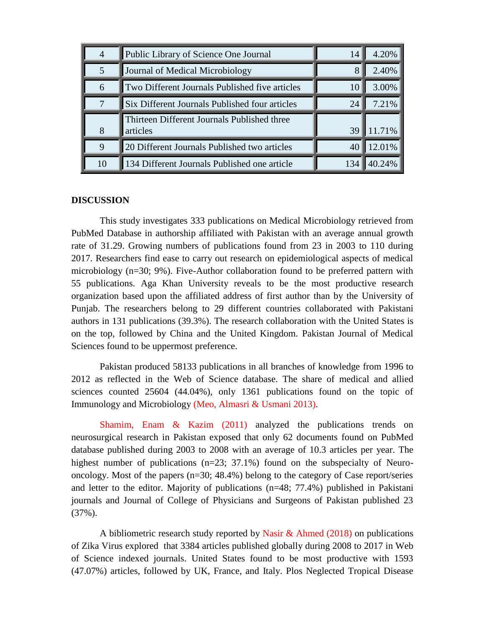| $\overline{4}$ | Public Library of Science One Journal                   | 14              | 4.20%  |
|----------------|---------------------------------------------------------|-----------------|--------|
| 5              | Journal of Medical Microbiology                         | 8               | 2.40%  |
| 6              | Two Different Journals Published five articles          | 10 <sup>1</sup> | 3.00%  |
| 7              | Six Different Journals Published four articles          | 24              | 7.21%  |
| 8              | Thirteen Different Journals Published three<br>articles | 39              | 11.71% |
| 9              | 20 Different Journals Published two articles            |                 | 12.01% |
| 10             | 134 Different Journals Published one article            |                 | .24%   |

#### **DISCUSSION**

This study investigates 333 publications on Medical Microbiology retrieved from PubMed Database in authorship affiliated with Pakistan with an average annual growth rate of 31.29. Growing numbers of publications found from 23 in 2003 to 110 during 2017. Researchers find ease to carry out research on epidemiological aspects of medical microbiology (n=30; 9%). Five-Author collaboration found to be preferred pattern with 55 publications. Aga Khan University reveals to be the most productive research organization based upon the affiliated address of first author than by the University of Punjab. The researchers belong to 29 different countries collaborated with Pakistani authors in 131 publications (39.3%). The research collaboration with the United States is on the top, followed by China and the United Kingdom. Pakistan Journal of Medical Sciences found to be uppermost preference.

Pakistan produced 58133 publications in all branches of knowledge from 1996 to 2012 as reflected in the Web of Science database. The share of medical and allied sciences counted 25604 (44.04%), only 1361 publications found on the topic of Immunology and Microbiology (Meo, Almasri & Usmani 2013).

Shamim, Enam & Kazim (2011) analyzed the publications trends on neurosurgical research in Pakistan exposed that only 62 documents found on PubMed database published during 2003 to 2008 with an average of 10.3 articles per year. The highest number of publications (n=23; 37.1%) found on the subspecialty of Neurooncology. Most of the papers (n=30; 48.4%) belong to the category of Case report/series and letter to the editor. Majority of publications (n=48; 77.4%) published in Pakistani journals and Journal of College of Physicians and Surgeons of Pakistan published 23 (37%).

A bibliometric research study reported by Nasir & Ahmed (2018) on publications of Zika Virus explored that 3384 articles published globally during 2008 to 2017 in Web of Science indexed journals. United States found to be most productive with 1593 (47.07%) articles, followed by UK, France, and Italy. Plos Neglected Tropical Disease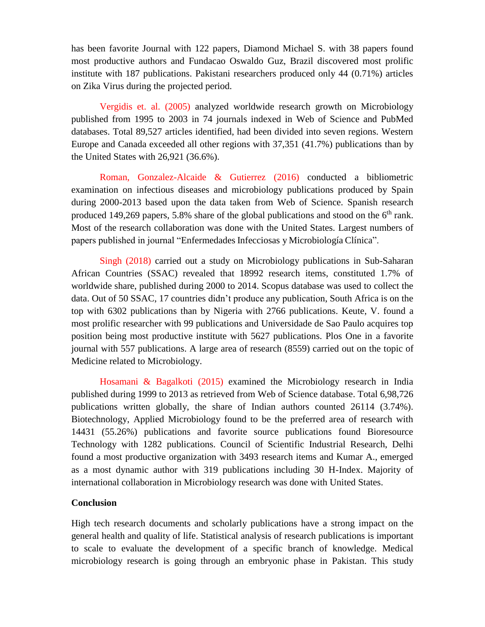has been favorite Journal with 122 papers, Diamond Michael S. with 38 papers found most productive authors and Fundacao Oswaldo Guz, Brazil discovered most prolific institute with 187 publications. Pakistani researchers produced only 44 (0.71%) articles on Zika Virus during the projected period.

Vergidis et. al. (2005) analyzed worldwide research growth on Microbiology published from 1995 to 2003 in 74 journals indexed in Web of Science and PubMed databases. Total 89,527 articles identified, had been divided into seven regions. Western Europe and Canada exceeded all other regions with 37,351 (41.7%) publications than by the United States with 26,921 (36.6%).

Roman, Gonzalez-Alcaide & Gutierrez (2016) conducted a bibliometric examination on infectious diseases and microbiology publications produced by Spain during 2000-2013 based upon the data taken from Web of Science. Spanish research produced 149,269 papers, 5.8% share of the global publications and stood on the  $6<sup>th</sup>$  rank. Most of the research collaboration was done with the United States. Largest numbers of papers published in journal "Enfermedades Infecciosas y Microbiología Clínica".

Singh (2018) carried out a study on Microbiology publications in Sub-Saharan African Countries (SSAC) revealed that 18992 research items, constituted 1.7% of worldwide share, published during 2000 to 2014. Scopus database was used to collect the data. Out of 50 SSAC, 17 countries didn't produce any publication, South Africa is on the top with 6302 publications than by Nigeria with 2766 publications. Keute, V. found a most prolific researcher with 99 publications and Universidade de Sao Paulo acquires top position being most productive institute with 5627 publications. Plos One in a favorite journal with 557 publications. A large area of research (8559) carried out on the topic of Medicine related to Microbiology.

Hosamani & Bagalkoti (2015) examined the Microbiology research in India published during 1999 to 2013 as retrieved from Web of Science database. Total 6,98,726 publications written globally, the share of Indian authors counted 26114 (3.74%). Biotechnology, Applied Microbiology found to be the preferred area of research with 14431 (55.26%) publications and favorite source publications found Bioresource Technology with 1282 publications. Council of Scientific Industrial Research, Delhi found a most productive organization with 3493 research items and Kumar A., emerged as a most dynamic author with 319 publications including 30 H-Index. Majority of international collaboration in Microbiology research was done with United States.

## **Conclusion**

High tech research documents and scholarly publications have a strong impact on the general health and quality of life. Statistical analysis of research publications is important to scale to evaluate the development of a specific branch of knowledge. Medical microbiology research is going through an embryonic phase in Pakistan. This study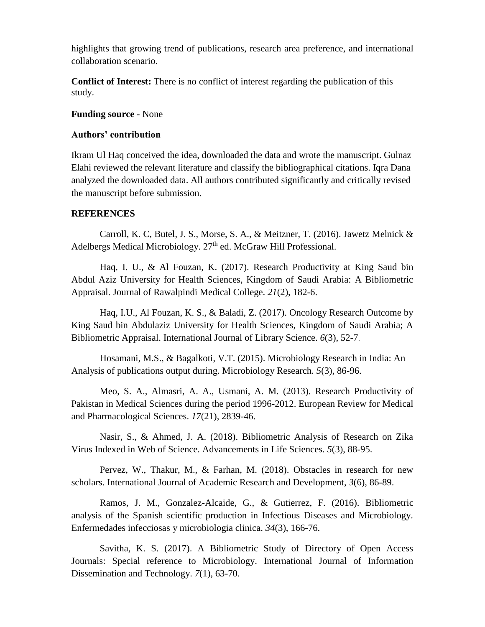highlights that growing trend of publications, research area preference, and international collaboration scenario.

**Conflict of Interest:** There is no conflict of interest regarding the publication of this study.

#### **Funding source** - None

#### **Authors' contribution**

Ikram Ul Haq conceived the idea, downloaded the data and wrote the manuscript. Gulnaz Elahi reviewed the relevant literature and classify the bibliographical citations. Iqra Dana analyzed the downloaded data. All authors contributed significantly and critically revised the manuscript before submission.

## **REFERENCES**

Carroll, K. C, Butel, J. S., Morse, S. A., & Meitzner, T. (2016). Jawetz Melnick & Adelbergs Medical Microbiology. 27<sup>th</sup> ed. McGraw Hill Professional.

Haq, I. U., & Al Fouzan, K. (2017). Research Productivity at King Saud bin Abdul Aziz University for Health Sciences, Kingdom of Saudi Arabia: A Bibliometric Appraisal. Journal of Rawalpindi Medical College. *21*(2), 182-6.

Haq, I.U., Al Fouzan, K. S., & Baladi, Z. (2017). Oncology Research Outcome by King Saud bin Abdulaziz University for Health Sciences, Kingdom of Saudi Arabia; A Bibliometric Appraisal. International Journal of Library Science. *6*(3), 52-7.

Hosamani, M.S., & Bagalkoti, V.T. (2015). Microbiology Research in India: An Analysis of publications output during. Microbiology Research. *5*(3), 86-96.

Meo, S. A., Almasri, A. A., Usmani, A. M. (2013). Research Productivity of Pakistan in Medical Sciences during the period 1996-2012. European Review for Medical and Pharmacological Sciences. *17*(21), 2839-46.

Nasir, S., & Ahmed, J. A. (2018). Bibliometric Analysis of Research on Zika Virus Indexed in Web of Science. Advancements in Life Sciences. *5*(3), 88-95.

Pervez, W., Thakur, M., & Farhan, M. (2018). Obstacles in research for new scholars. International Journal of Academic Research and Development, *3*(6), 86-89.

Ramos, J. M., Gonzalez-Alcaide, G., & Gutierrez, F. (2016). Bibliometric analysis of the Spanish scientific production in Infectious Diseases and Microbiology. Enfermedades infecciosas y microbiologia clinica. *34*(3), 166-76.

Savitha, K. S. (2017). A Bibliometric Study of Directory of Open Access Journals: Special reference to Microbiology. International Journal of Information Dissemination and Technology. *7*(1), 63-70.